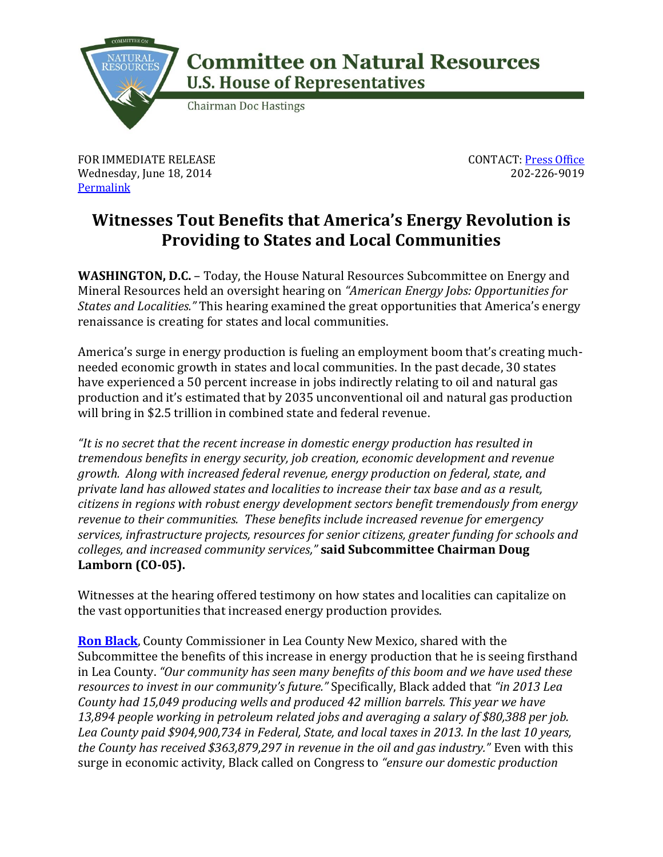

## **Committee on Natural Resources U.S. House of Representatives**

**Chairman Doc Hastings** 

FOR IMMEDIATE RELEASE Wednesday, June 18, 2014 **[Permalink](http://naturalresources.house.gov/news/documentsingle.aspx?DocumentID=384951)** 

CONTACT: [Press Office](http://naturalresources.house.gov/contact/media.htm) 202-226-9019

## **Witnesses Tout Benefits that America's Energy Revolution is Providing to States and Local Communities**

**WASHINGTON, D.C.** – Today, the House Natural Resources Subcommittee on Energy and Mineral Resources held an oversight hearing on *"American Energy Jobs: Opportunities for States and Localities."* This hearing examined the great opportunities that America's energy renaissance is creating for states and local communities.

America's surge in energy production is fueling an employment boom that's creating muchneeded economic growth in states and local communities. In the past decade, 30 states have experienced a 50 percent increase in jobs indirectly relating to oil and natural gas production and it's estimated that by 2035 unconventional oil and natural gas production will bring in \$2.5 trillion in combined state and federal revenue.

*"It is no secret that the recent increase in domestic energy production has resulted in tremendous benefits in energy security, job creation, economic development and revenue growth. Along with increased federal revenue, energy production on federal, state, and private land has allowed states and localities to increase their tax base and as a result, citizens in regions with robust energy development sectors benefit tremendously from energy revenue to their communities. These benefits include increased revenue for emergency services, infrastructure projects, resources for senior citizens, greater funding for schools and colleges, and increased community services,"* **said Subcommittee Chairman Doug Lamborn (CO-05).**

Witnesses at the hearing offered testimony on how states and localities can capitalize on the vast opportunities that increased energy production provides.

**[Ron Black](http://naturalresources.house.gov/uploadedfiles/blacktestimony6.17.14.pdf)**, County Commissioner in Lea County New Mexico, shared with the Subcommittee the benefits of this increase in energy production that he is seeing firsthand in Lea County. *"Our community has seen many benefits of this boom and we have used these resources to invest in our community's future."* Specifically, Black added that *"in 2013 Lea County had 15,049 producing wells and produced 42 million barrels. This year we have 13,894 people working in petroleum related jobs and averaging a salary of \$80,388 per job. Lea County paid \$904,900,734 in Federal, State, and local taxes in 2013. In the last 10 years, the County has received \$363,879,297 in revenue in the oil and gas industry."* Even with this surge in economic activity, Black called on Congress to *"ensure our domestic production*